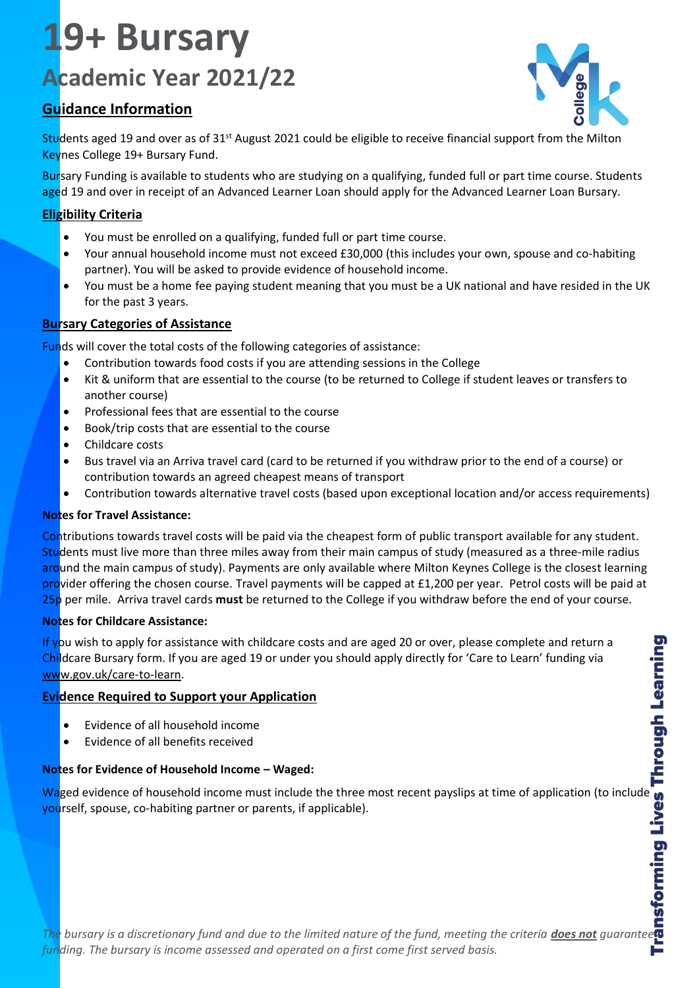# **19+ Bursary Academic Year 2021/22**

# **Guidance Information**



Students aged 19 and over as of 31<sup>st</sup> August 2021 could be eligible to receive financial support from the Milton Keynes College 19+ Bursary Fund.

Bursary Funding is available to students who are studying on a qualifying, funded full or part time course. Students aged 19 and over in receipt of an Advanced Learner Loan should apply for the Advanced Learner Loan Bursary.

# **Eligibility Criteria**

- You must be enrolled on a qualifying, funded full or part time course.
- Your annual household income must not exceed £30,000 (this includes your own, spouse and co-habiting partner). You will be asked to provide evidence of household income.
- You must be a home fee paying student meaning that you must be a UK national and have resided in the UK for the past 3 years.

# **Bursary Categories of Assistance**

Funds will cover the total costs of the following categories of assistance:

- Contribution towards food costs if you are attending sessions in the College
- Kit & uniform that are essential to the course (to be returned to College if student leaves or transfers to another course)
- Professional fees that are essential to the course
- Book/trip costs that are essential to the course
- Childcare costs
- Bus travel via an Arriva travel card (card to be returned if you withdraw prior to the end of a course) or contribution towards an agreed cheapest means of transport
- Contribution towards alternative travel costs (based upon exceptional location and/or access requirements)

# **Notes for Travel Assistance:**

Contributions towards travel costs will be paid via the cheapest form of public transport available for any student. Students must live more than three miles away from their main campus of study (measured as a three-mile radius around the main campus of study). Payments are only available where Milton Keynes College is the closest learning provider offering the chosen course. Travel payments will be capped at £1,200 per year. Petrol costs will be paid at 25p per mile. Arriva travel cards **must** be returned to the College if you withdraw before the end of your course.

#### **Notes for Childcare Assistance:**

If you wish to apply for assistance with childcare costs and are aged 20 or over, please complete and return a Childcare Bursary form. If you are aged 19 or under you should apply directly for 'Care to Learn' funding via [www.gov.uk/care-to-learn.](http://www.gov.uk/care-to-learn)

# **Evidence Required to Support your Application**

- Evidence of all household income
- Evidence of all benefits received

#### **Notes for Evidence of Household Income – Waged:**

Waged evidence of household income must include the three most recent payslips at time of application (to include yourself, spouse, co-habiting partner or parents, if applicable).